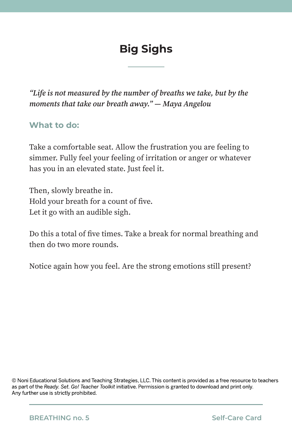# **Big Sighs**

*"Life is not measured by the number of breaths we take, but by the moments that take our breath away." — Maya Angelou* 

#### **What to do:**

Take a comfortable seat. Allow the frustration you are feeling to simmer. Fully feel your feeling of irritation or anger or whatever has you in an elevated state. Just feel it.

Then, slowly breathe in. Hold your breath for a count of five. Let it go with an audible sigh.

Do this a total of five times. Take a break for normal breathing and then do two more rounds.

Notice again how you feel. Are the strong emotions still present?

© Noni Educational Solutions and Teaching Strategies, LLC. This content is provided as a free resource to teachers as part of the *Ready. Set. Go! Teacher Toolkit* initiative. Permission is granted to download and print only. Any further use is strictly prohibited.

**BREATHING no. 5 Self-Care Card**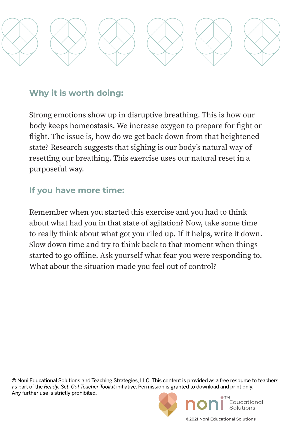

Strong emotions show up in disruptive breathing. This is how our body keeps homeostasis. We increase oxygen to prepare for fight or flight. The issue is, how do we get back down from that heightened state? Research suggests that sighing is our body's natural way of resetting our breathing. This exercise uses our natural reset in a purposeful way.

### **If you have more time:**

Remember when you started this exercise and you had to think about what had you in that state of agitation? Now, take some time to really think about what got you riled up. If it helps, write it down. Slow down time and try to think back to that moment when things started to go offline. Ask yourself what fear you were responding to. What about the situation made you feel out of control?

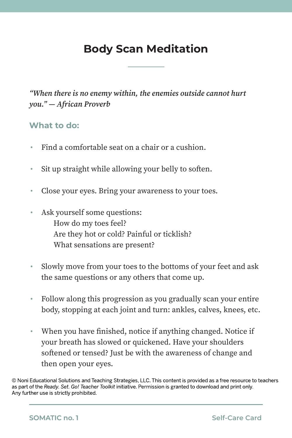## **Body Scan Meditation**

*"When there is no enemy within, the enemies outside cannot hurt you." — African Proverb*

#### **What to do:**

- Find a comfortable seat on a chair or a cushion.
- Sit up straight while allowing your belly to soften.
- Close your eyes. Bring your awareness to your toes.
- Ask yourself some questions: How do my toes feel? Are they hot or cold? Painful or ticklish? What sensations are present?
- Slowly move from your toes to the bottoms of your feet and ask the same questions or any others that come up.
- Follow along this progression as you gradually scan your entire body, stopping at each joint and turn: ankles, calves, knees, etc.
- When you have finished, notice if anything changed. Notice if your breath has slowed or quickened. Have your shoulders softened or tensed? Just be with the awareness of change and then open your eyes.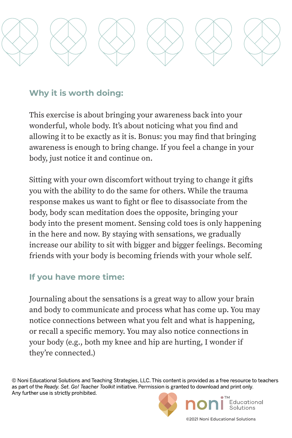

This exercise is about bringing your awareness back into your wonderful, whole body. It's about noticing what you find and allowing it to be exactly as it is. Bonus: you may find that bringing awareness is enough to bring change. If you feel a change in your body, just notice it and continue on.

Sitting with your own discomfort without trying to change it gifts you with the ability to do the same for others. While the trauma response makes us want to fight or flee to disassociate from the body, body scan meditation does the opposite, bringing your body into the present moment. Sensing cold toes is only happening in the here and now. By staying with sensations, we gradually increase our ability to sit with bigger and bigger feelings. Becoming friends with your body is becoming friends with your whole self.

## **If you have more time:**

Journaling about the sensations is a great way to allow your brain and body to communicate and process what has come up. You may notice connections between what you felt and what is happening, or recall a specific memory. You may also notice connections in your body (e.g., both my knee and hip are hurting, I wonder if they're connected.)

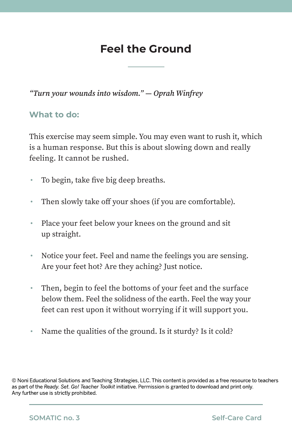## **Feel the Ground**

#### *"Turn your wounds into wisdom." ― Oprah Winfrey*

#### **What to do:**

This exercise may seem simple. You may even want to rush it, which is a human response. But this is about slowing down and really feeling. It cannot be rushed.

- To begin, take five big deep breaths.
- Then slowly take off your shoes (if you are comfortable).
- Place your feet below your knees on the ground and sit up straight.
- Notice your feet. Feel and name the feelings you are sensing. Are your feet hot? Are they aching? Just notice.
- Then, begin to feel the bottoms of your feet and the surface below them. Feel the solidness of the earth. Feel the way your feet can rest upon it without worrying if it will support you.
- Name the qualities of the ground. Is it sturdy? Is it cold?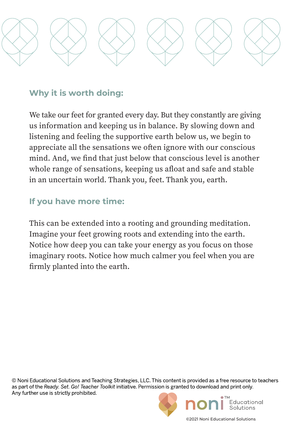

We take our feet for granted every day. But they constantly are giving us information and keeping us in balance. By slowing down and listening and feeling the supportive earth below us, we begin to appreciate all the sensations we often ignore with our conscious mind. And, we find that just below that conscious level is another whole range of sensations, keeping us afloat and safe and stable in an uncertain world. Thank you, feet. Thank you, earth.

### **If you have more time:**

This can be extended into a rooting and grounding meditation. Imagine your feet growing roots and extending into the earth. Notice how deep you can take your energy as you focus on those imaginary roots. Notice how much calmer you feel when you are firmly planted into the earth.

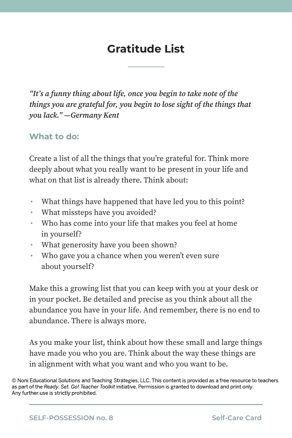# **Gratitude List**

*"It's a funny thing about life, once you begin to take note of the things you are grateful for, you begin to lose sight of the things that you lack." —Germany Kent* 

#### **What to do:**

Create a list of all the things that you're grateful for. Think more deeply about what you really want to be present in your life and what on that list is already there. Think about:

- What things have happened that have led you to this point?
- What missteps have you avoided?
- Who has come into your life that makes you feel at home in yourself?
- What generosity have you been shown?
- Who gave you a chance when you weren't even sure about yourself?

Make this a growing list that you can keep with you at your desk or in your pocket. Be detailed and precise as you think about all the abundance you have in your life. And remember, there is no end to abundance. There is always more.

As you make your list, think about how these small and large things have made you who you are. Think about the way these things are in alignment with what you want and who you want to be.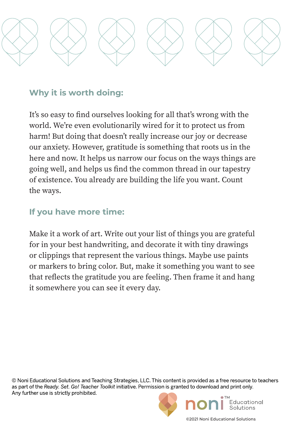

It's so easy to find ourselves looking for all that's wrong with the world. We're even evolutionarily wired for it to protect us from harm! But doing that doesn't really increase our joy or decrease our anxiety. However, gratitude is something that roots us in the here and now. It helps us narrow our focus on the ways things are going well, and helps us find the common thread in our tapestry of existence. You already are building the life you want. Count the ways.

### **If you have more time:**

Make it a work of art. Write out your list of things you are grateful for in your best handwriting, and decorate it with tiny drawings or clippings that represent the various things. Maybe use paints or markers to bring color. But, make it something you want to see that reflects the gratitude you are feeling. Then frame it and hang it somewhere you can see it every day.

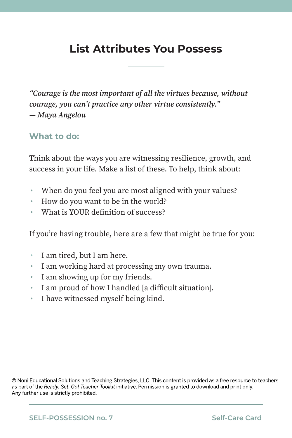## **List Attributes You Possess**

*"Courage is the most important of all the virtues because, without courage, you can't practice any other virtue consistently." ― Maya Angelou*

#### **What to do:**

Think about the ways you are witnessing resilience, growth, and success in your life. Make a list of these. To help, think about:

- When do you feel you are most aligned with your values?
- How do you want to be in the world?
- What is YOUR definition of success?

If you're having trouble, here are a few that might be true for you:

- I am tired, but I am here.
- I am working hard at processing my own trauma.
- I am showing up for my friends.
- I am proud of how I handled [a difficult situation].
- I have witnessed myself being kind.